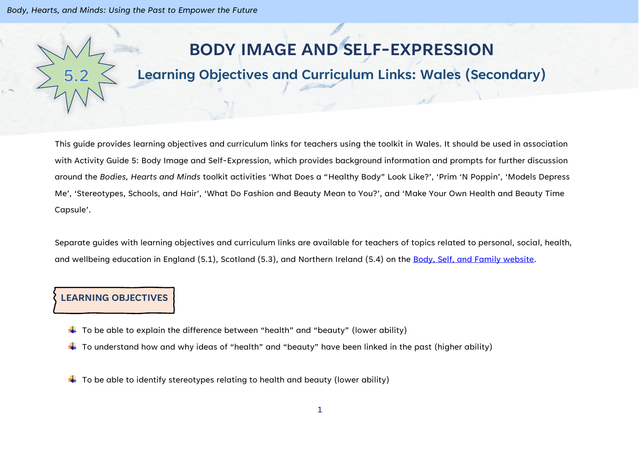*Body, Hearts, and Minds: Using the Past to Empower the Future*

# **BODY IMAGE AND SELF-EXPRESSION**

# **Learning Objectives and Curriculum Links: Wales (Secondary)**

This guide provides learning objectives and curriculum links for teachers using the toolkit in Wales. It should be used in association with Activity Guide 5: Body Image and Self-Expression, which provides background information and prompts for further discussion around the *Bodies, Hearts and Minds* toolkit activities 'What Does a "Healthy Body" Look Like?', 'Prim 'N Poppin', 'Models Depress Me', 'Stereotypes, Schools, and Hair', 'What Do Fashion and Beauty Mean to You?', and 'Make Your Own Health and Beauty Time Capsule'.

Separate guides with learning objectives and curriculum links are available for teachers of topics related to personal, social, health, and wellbeing education in England (5.1), Scotland (5.3), and Northern Ireland (5.4) on the [Body, Self, and Family website.](https://bodyselffamily.org/)

#### **LEARNING OBJECTIVES**

- $\downarrow$  To be able to explain the difference between "health" and "beauty" (lower ability)
- $\ddotplus$  To understand how and why ideas of "health" and "beauty" have been linked in the past (higher ability)
- $\ddotplus$  To be able to identify stereotypes relating to health and beauty (lower ability)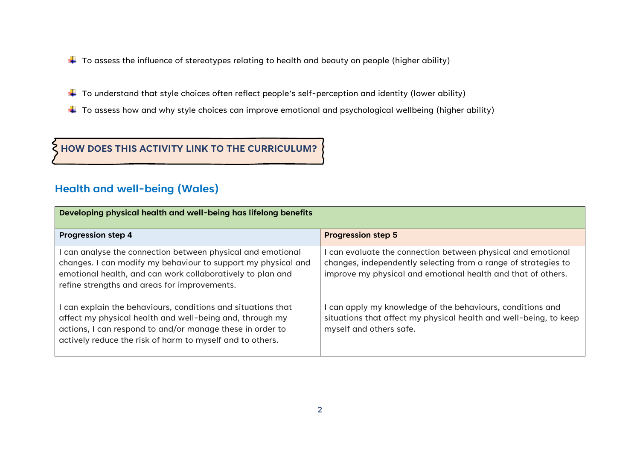- $\downarrow$  To assess the influence of stereotypes relating to health and beauty on people (higher ability)
- $\ddotplus$  To understand that style choices often reflect people's self-perception and identity (lower ability)
- $\ddotplus$  To assess how and why style choices can improve emotional and psychological wellbeing (higher ability)

**HOW DOES THIS ACTIVITY LINK TO THE CURRICULUM?**

## **Health and well-being (Wales)**

| Developing physical health and well-being has lifelong benefits                                                                                                                                                                                    |                                                                                                                                                                                              |  |
|----------------------------------------------------------------------------------------------------------------------------------------------------------------------------------------------------------------------------------------------------|----------------------------------------------------------------------------------------------------------------------------------------------------------------------------------------------|--|
| <b>Progression step 4</b>                                                                                                                                                                                                                          | <b>Progression step 5</b>                                                                                                                                                                    |  |
| I can analyse the connection between physical and emotional<br>changes. I can modify my behaviour to support my physical and<br>emotional health, and can work collaboratively to plan and<br>refine strengths and areas for improvements.         | can evaluate the connection between physical and emotional<br>changes, independently selecting from a range of strategies to<br>improve my physical and emotional health and that of others. |  |
| I can explain the behaviours, conditions and situations that<br>affect my physical health and well-being and, through my<br>actions, I can respond to and/or manage these in order to<br>actively reduce the risk of harm to myself and to others. | can apply my knowledge of the behaviours, conditions and<br>situations that affect my physical health and well-being, to keep<br>myself and others safe.                                     |  |